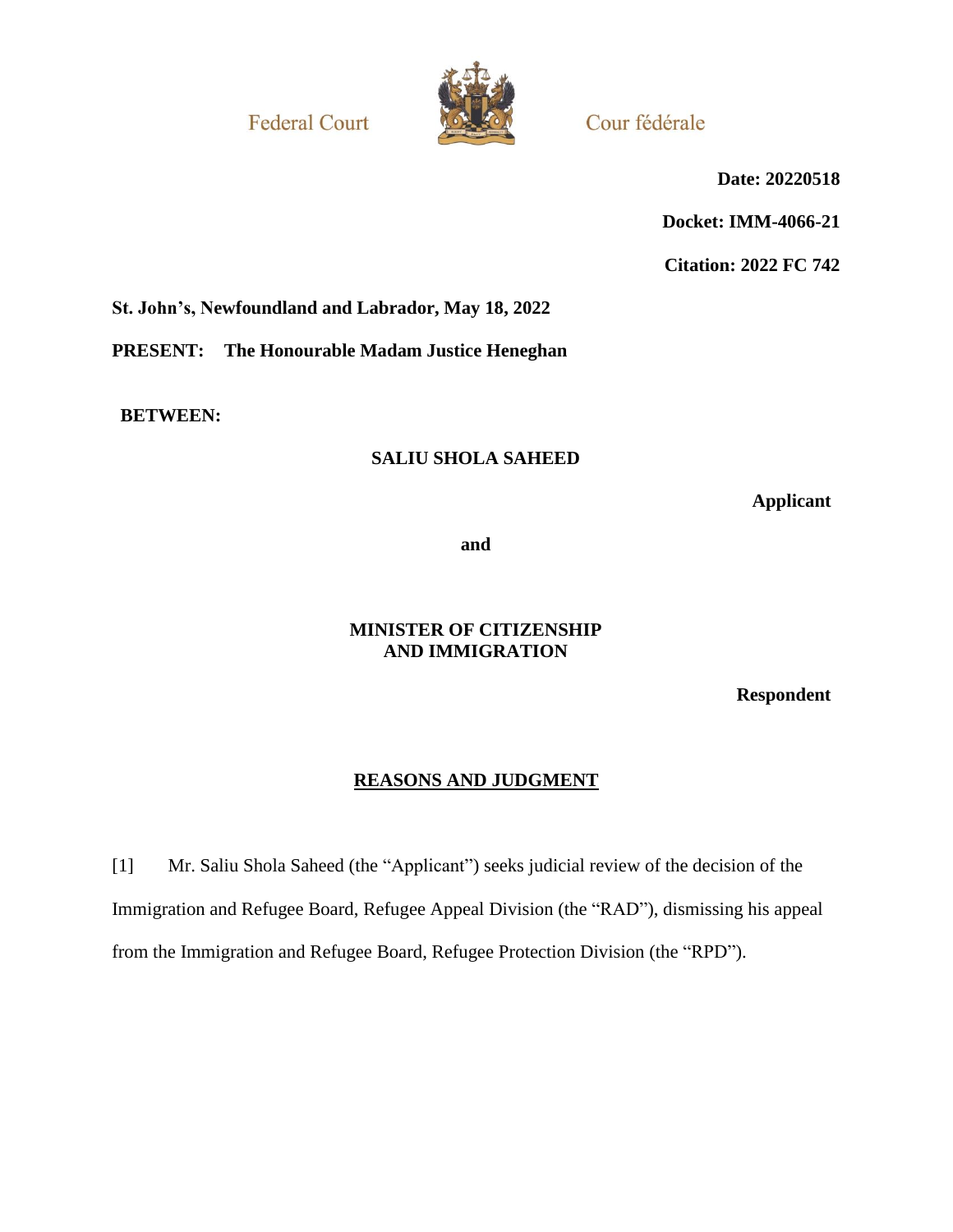**Federal Court** 



Cour fédérale

**Date: 20220518**

**Docket: IMM-4066-21**

**Citation: 2022 FC 742**

**St. John's, Newfoundland and Labrador, May 18, 2022**

**PRESENT: The Honourable Madam Justice Heneghan**

**BETWEEN:**

### **SALIU SHOLA SAHEED**

**Applicant**

**and**

### **MINISTER OF CITIZENSHIP AND IMMIGRATION**

**Respondent**

# **REASONS AND JUDGMENT**

[1] Mr. Saliu Shola Saheed (the "Applicant") seeks judicial review of the decision of the Immigration and Refugee Board, Refugee Appeal Division (the "RAD"), dismissing his appeal from the Immigration and Refugee Board, Refugee Protection Division (the "RPD").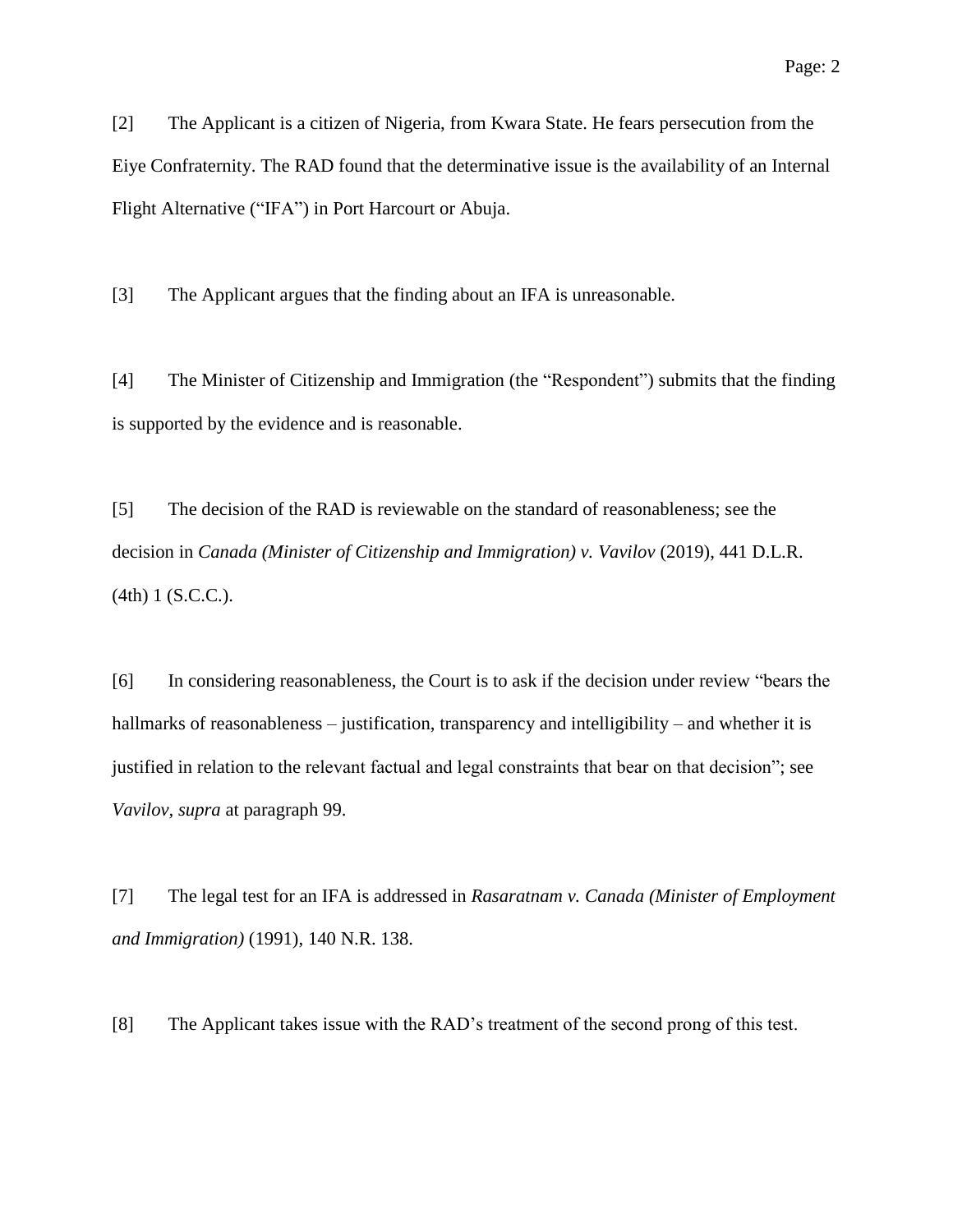[2] The Applicant is a citizen of Nigeria, from Kwara State. He fears persecution from the Eiye Confraternity. The RAD found that the determinative issue is the availability of an Internal Flight Alternative ("IFA") in Port Harcourt or Abuja.

[3] The Applicant argues that the finding about an IFA is unreasonable.

[4] The Minister of Citizenship and Immigration (the "Respondent") submits that the finding is supported by the evidence and is reasonable.

[5] The decision of the RAD is reviewable on the standard of reasonableness; see the decision in *Canada (Minister of Citizenship and Immigration) v. Vavilov* (2019), 441 D.L.R. (4th) 1 (S.C.C.).

[6] In considering reasonableness, the Court is to ask if the decision under review "bears the hallmarks of reasonableness – justification, transparency and intelligibility – and whether it is justified in relation to the relevant factual and legal constraints that bear on that decision"; see *Vavilov, supra* at paragraph 99.

[7] The legal test for an IFA is addressed in *Rasaratnam v. Canada (Minister of Employment and Immigration)* (1991), 140 N.R. 138.

[8] The Applicant takes issue with the RAD's treatment of the second prong of this test.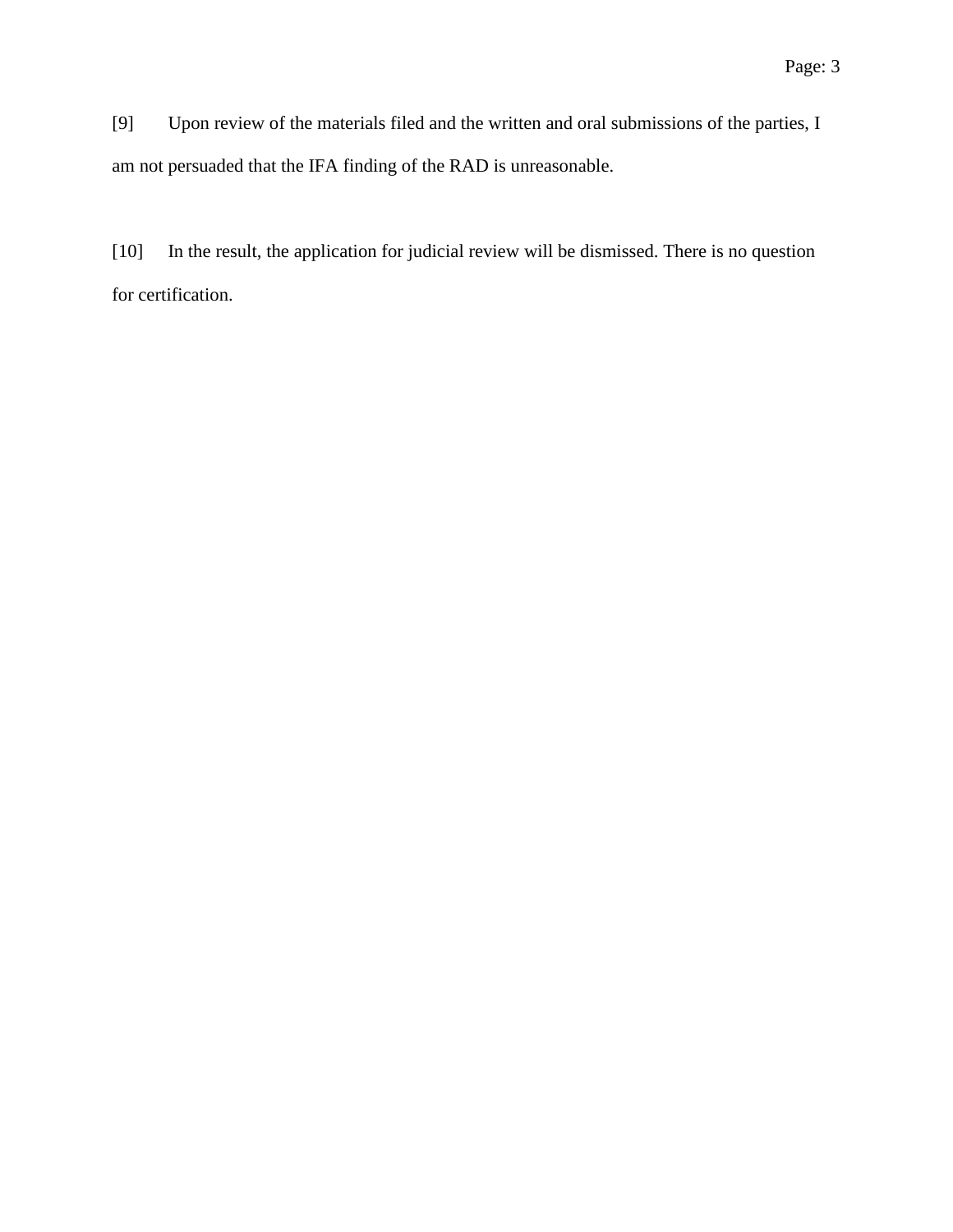[9] Upon review of the materials filed and the written and oral submissions of the parties, I am not persuaded that the IFA finding of the RAD is unreasonable.

[10] In the result, the application for judicial review will be dismissed. There is no question for certification.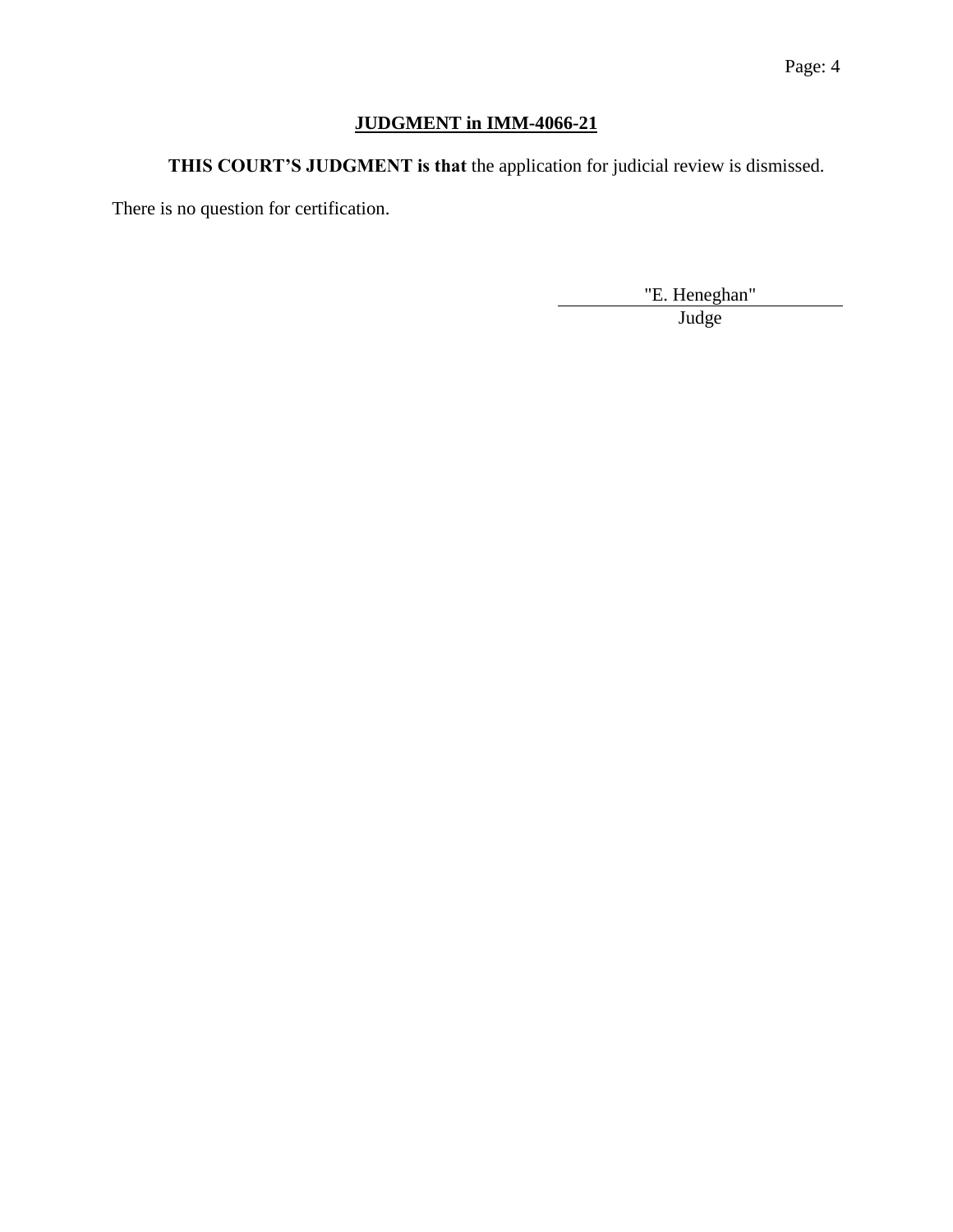# **JUDGMENT in IMM-4066-21**

**THIS COURT'S JUDGMENT is that** the application for judicial review is dismissed.

There is no question for certification.

"E. Heneghan" Judge